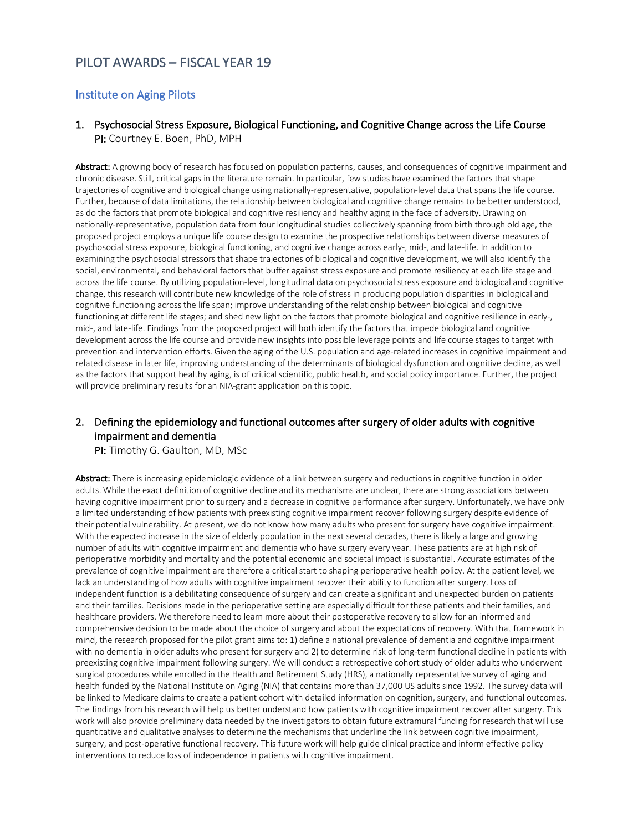# PILOT AWARDS – FISCAL YEAR 19

#### Institute on Aging Pilots

#### 1. Psychosocial Stress Exposure, Biological Functioning, and Cognitive Change across the Life Course PI: Courtney E. Boen, PhD, MPH

Abstract: A growing body of research has focused on population patterns, causes, and consequences of cognitive impairment and chronic disease. Still, critical gaps in the literature remain. In particular, few studies have examined the factors that shape trajectories of cognitive and biological change using nationally-representative, population-level data that spans the life course. Further, because of data limitations, the relationship between biological and cognitive change remains to be better understood, as do the factors that promote biological and cognitive resiliency and healthy aging in the face of adversity. Drawing on nationally-representative, population data from four longitudinal studies collectively spanning from birth through old age, the proposed project employs a unique life course design to examine the prospective relationships between diverse measures of psychosocial stress exposure, biological functioning, and cognitive change across early-, mid-, and late-life. In addition to examining the psychosocial stressors that shape trajectories of biological and cognitive development, we will also identify the social, environmental, and behavioral factors that buffer against stress exposure and promote resiliency at each life stage and across the life course. By utilizing population-level, longitudinal data on psychosocial stress exposure and biological and cognitive change, this research will contribute new knowledge of the role of stress in producing population disparities in biological and cognitive functioning across the life span; improve understanding of the relationship between biological and cognitive functioning at different life stages; and shed new light on the factors that promote biological and cognitive resilience in early-, mid-, and late-life. Findings from the proposed project will both identify the factors that impede biological and cognitive development across the life course and provide new insights into possible leverage points and life course stages to target with prevention and intervention efforts. Given the aging of the U.S. population and age-related increases in cognitive impairment and related disease in later life, improving understanding of the determinants of biological dysfunction and cognitive decline, as well as the factors that support healthy aging, is of critical scientific, public health, and social policy importance. Further, the project will provide preliminary results for an NIA-grant application on this topic.

### 2. Defining the epidemiology and functional outcomes after surgery of older adults with cognitive impairment and dementia

PI: Timothy G. Gaulton, MD, MSc

Abstract: There is increasing epidemiologic evidence of a link between surgery and reductions in cognitive function in older adults. While the exact definition of cognitive decline and its mechanisms are unclear, there are strong associations between having cognitive impairment prior to surgery and a decrease in cognitive performance after surgery. Unfortunately, we have only a limited understanding of how patients with preexisting cognitive impairment recover following surgery despite evidence of their potential vulnerability. At present, we do not know how many adults who present for surgery have cognitive impairment. With the expected increase in the size of elderly population in the next several decades, there is likely a large and growing number of adults with cognitive impairment and dementia who have surgery every year. These patients are at high risk of perioperative morbidity and mortality and the potential economic and societal impact is substantial. Accurate estimates of the prevalence of cognitive impairment are therefore a critical start to shaping perioperative health policy. At the patient level, we lack an understanding of how adults with cognitive impairment recover their ability to function after surgery. Loss of independent function is a debilitating consequence of surgery and can create a significant and unexpected burden on patients and their families. Decisions made in the perioperative setting are especially difficult for these patients and their families, and healthcare providers. We therefore need to learn more about their postoperative recovery to allow for an informed and comprehensive decision to be made about the choice of surgery and about the expectations of recovery. With that framework in mind, the research proposed for the pilot grant aims to: 1) define a national prevalence of dementia and cognitive impairment with no dementia in older adults who present for surgery and 2) to determine risk of long-term functional decline in patients with preexisting cognitive impairment following surgery. We will conduct a retrospective cohort study of older adults who underwent surgical procedures while enrolled in the Health and Retirement Study (HRS), a nationally representative survey of aging and health funded by the National Institute on Aging (NIA) that contains more than 37,000 US adults since 1992. The survey data will be linked to Medicare claims to create a patient cohort with detailed information on cognition, surgery, and functional outcomes. The findings from his research will help us better understand how patients with cognitive impairment recover after surgery. This work will also provide preliminary data needed by the investigators to obtain future extramural funding for research that will use quantitative and qualitative analyses to determine the mechanisms that underline the link between cognitive impairment, surgery, and post-operative functional recovery. This future work will help guide clinical practice and inform effective policy interventions to reduce loss of independence in patients with cognitive impairment.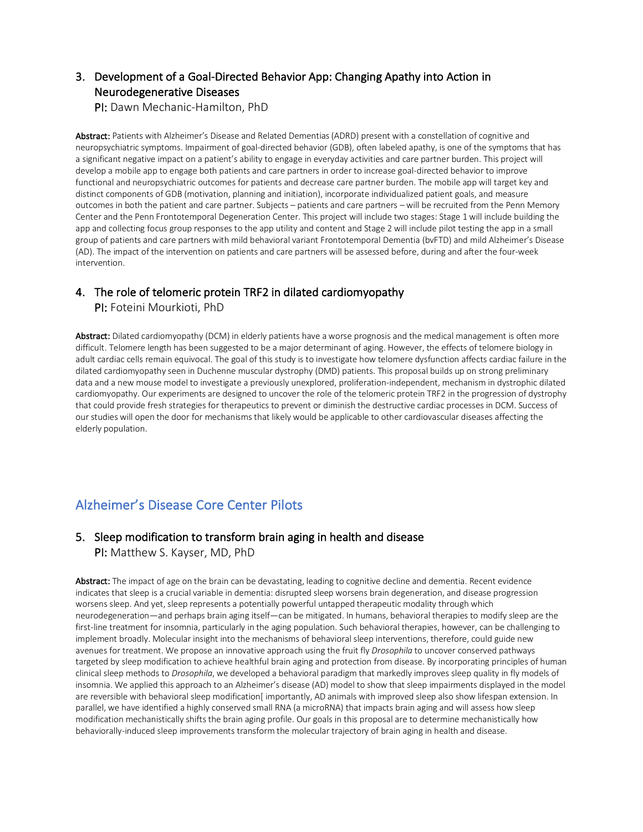## 3. Development of a Goal-Directed Behavior App: Changing Apathy into Action in Neurodegenerative Diseases

PI: Dawn Mechanic-Hamilton, PhD

Abstract: Patients with Alzheimer's Disease and Related Dementias (ADRD) present with a constellation of cognitive and neuropsychiatric symptoms. Impairment of goal-directed behavior (GDB), often labeled apathy, is one of the symptoms that has a significant negative impact on a patient's ability to engage in everyday activities and care partner burden. This project will develop a mobile app to engage both patients and care partners in order to increase goal-directed behavior to improve functional and neuropsychiatric outcomes for patients and decrease care partner burden. The mobile app will target key and distinct components of GDB (motivation, planning and initiation), incorporate individualized patient goals, and measure outcomes in both the patient and care partner. Subjects – patients and care partners – will be recruited from the Penn Memory Center and the Penn Frontotemporal Degeneration Center. This project will include two stages: Stage 1 will include building the app and collecting focus group responses to the app utility and content and Stage 2 will include pilot testing the app in a small group of patients and care partners with mild behavioral variant Frontotemporal Dementia (bvFTD) and mild Alzheimer's Disease (AD). The impact of the intervention on patients and care partners will be assessed before, during and after the four-week intervention.

## 4. The role of telomeric protein TRF2 in dilated cardiomyopathy

PI: Foteini Mourkioti, PhD

Abstract: Dilated cardiomyopathy (DCM) in elderly patients have a worse prognosis and the medical management is often more difficult. Telomere length has been suggested to be a major determinant of aging. However, the effects of telomere biology in adult cardiac cells remain equivocal. The goal of this study is to investigate how telomere dysfunction affects cardiac failure in the dilated cardiomyopathy seen in Duchenne muscular dystrophy (DMD) patients. This proposal builds up on strong preliminary data and a new mouse model to investigate a previously unexplored, proliferation-independent, mechanism in dystrophic dilated cardiomyopathy. Our experiments are designed to uncover the role of the telomeric protein TRF2 in the progression of dystrophy that could provide fresh strategies for therapeutics to prevent or diminish the destructive cardiac processes in DCM. Success of our studies will open the door for mechanisms that likely would be applicable to other cardiovascular diseases affecting the elderly population.

# Alzheimer's Disease Core Center Pilots

### 5. Sleep modification to transform brain aging in health and disease

PI: Matthew S. Kayser, MD, PhD

Abstract: The impact of age on the brain can be devastating, leading to cognitive decline and dementia. Recent evidence indicates that sleep is a crucial variable in dementia: disrupted sleep worsens brain degeneration, and disease progression worsens sleep. And yet, sleep represents a potentially powerful untapped therapeutic modality through which neurodegeneration—and perhaps brain aging itself—can be mitigated. In humans, behavioral therapies to modify sleep are the first-line treatment for insomnia, particularly in the aging population. Such behavioral therapies, however, can be challenging to implement broadly. Molecular insight into the mechanisms of behavioral sleep interventions, therefore, could guide new avenues for treatment. We propose an innovative approach using the fruit fly *Drosophila* to uncover conserved pathways targeted by sleep modification to achieve healthful brain aging and protection from disease. By incorporating principles of human clinical sleep methods to *Drosophila*, we developed a behavioral paradigm that markedly improves sleep quality in fly models of insomnia. We applied this approach to an Alzheimer's disease (AD) model to show that sleep impairments displayed in the model are reversible with behavioral sleep modification[importantly, AD animals with improved sleep also show lifespan extension. In parallel, we have identified a highly conserved small RNA (a microRNA) that impacts brain aging and will assess how sleep modification mechanistically shifts the brain aging profile. Our goals in this proposal are to determine mechanistically how behaviorally-induced sleep improvements transform the molecular trajectory of brain aging in health and disease.